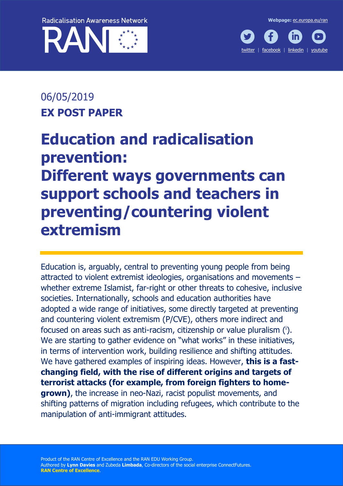





# 06/05/2019 **EX POST PAPER**

# **Education and radicalisation prevention: Different ways governments can support schools and teachers in preventing/countering violent extremism**

Education is, arguably, central to preventing young people from being attracted to violent extremist ideologies, organisations and movements – whether extreme Islamist, far-right or other threats to cohesive, inclusive societies. Internationally, schools and education authorities have adopted a wide range of initiatives, some directly targeted at preventing and countering violent extremism (P/CVE), others more indirect and focused on areas such as anti-racism, citizenship or value pluralism (i). We are starting to gather evidence on "what works" in these initiatives, in terms of intervention work, building resilience and shifting attitudes. We have gathered examples of inspiring ideas. However, **this is a fastchanging field, with the rise of different origins and targets of terrorist attacks (for example, from foreign fighters to homegrown)**, the increase in neo-Nazi, racist populist movements, and shifting patterns of migration including refugees, which contribute to the manipulation of anti-immigrant attitudes.

Product of the RAN Centre of Excellence and the RAN EDU Working Group. Authored by **Lynn Davies** and Zubeda **Limbada**, Co-directors of the social enterprise ConnectFutures. **RAN Centre of Excellence**.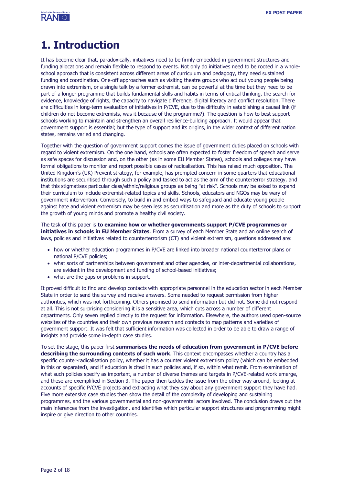

# **1. Introduction**

It has become clear that, paradoxically, initiatives need to be firmly embedded in government structures and funding allocations and remain flexible to respond to events. Not only do initiatives need to be rooted in a wholeschool approach that is consistent across different areas of curriculum and pedagogy, they need sustained funding and coordination. One-off approaches such as visiting theatre groups who act out young people being drawn into extremism, or a single talk by a former extremist, can be powerful at the time but they need to be part of a longer programme that builds fundamental skills and habits in terms of critical thinking, the search for evidence, knowledge of rights, the capacity to navigate difference, digital literacy and conflict resolution. There are difficulties in long-term evaluation of initiatives in P/CVE, due to the difficulty in establishing a causal link (if children do not become extremists, was it because of the programme?). The question is how to best support schools working to maintain and strengthen an overall resilience-building approach. It would appear that government support is essential; but the type of support and its origins, in the wider context of different nation states, remains varied and changing.

Together with the question of government support comes the issue of government duties placed on schools with regard to violent extremism. On the one hand, schools are often expected to foster freedom of speech and serve as safe spaces for discussion and, on the other (as in some EU Member States), schools and colleges may have formal obligations to monitor and report possible cases of radicalisation. This has raised much opposition. The United Kingdom's (UK) Prevent strategy, for example, has prompted concern in some quarters that educational institutions are securitised through such a policy and tasked to act as the arm of the counterterror strategy, and that this stigmatises particular class/ethnic/religious groups as being "at risk". Schools may be asked to expand their curriculum to include extremist-related topics and skills. Schools, educators and NGOs may be wary of government intervention. Conversely, to build in and embed ways to safeguard and educate young people against hate and violent extremism may be seen less as securitisation and more as the duty of schools to support the growth of young minds and promote a healthy civil society.

The task of this paper is **to examine how or whether governments support P/CVE programmes or initiatives in schools in EU Member States**. From a survey of each Member State and an online search of laws, policies and initiatives related to counterterrorism (CT) and violent extremism, questions addressed are:

- how or whether education programmes in P/CVE are linked into broader national counterterror plans or national P/CVE policies;
- what sorts of partnerships between government and other agencies, or inter-departmental collaborations, are evident in the development and funding of school-based initiatives;
- what are the gaps or problems in support.

It proved difficult to find and develop contacts with appropriate personnel in the education sector in each Member State in order to send the survey and receive answers. Some needed to request permission from higher authorities, which was not forthcoming. Others promised to send information but did not. Some did not respond at all. This is not surprising considering it is a sensitive area, which cuts across a number of different departments. Only seven replied directly to the request for information. Elsewhere, the authors used open-source websites of the countries and their own previous research and contacts to map patterns and varieties of government support. It was felt that sufficient information was collected in order to be able to draw a range of insights and provide some in-depth case studies.

To set the stage, this paper first **summarises the needs of education from government in P/CVE before describing the surrounding contexts of such work**. This context encompasses whether a country has a specific counter-radicalisation policy, whether it has a counter violent extremism policy (which can be embedded in this or separated), and if education is cited in such policies and, if so, within what remit. From examination of what such policies specify as important, a number of diverse themes and targets in P/CVE-related work emerge, and these are exemplified in Section 3. The paper then tackles the issue from the other way around, looking at accounts of specific P/CVE projects and extracting what they say about any government support they have had. Five more extensive case studies then show the detail of the complexity of developing and sustaining programmes, and the various governmental and non-governmental actors involved. The conclusion draws out the main inferences from the investigation, and identifies which particular support structures and programming might inspire or give direction to other countries.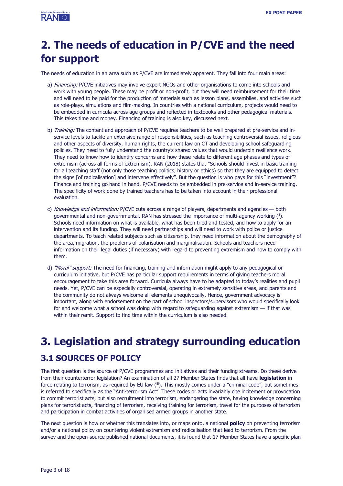

# **2. The needs of education in P/CVE and the need for support**

The needs of education in an area such as P/CVE are immediately apparent. They fall into four main areas:

- a) Financing: P/CVE initiatives may involve expert NGOs and other organisations to come into schools and work with young people. These may be profit or non-profit, but they will need reimbursement for their time and will need to be paid for the production of materials such as lesson plans, assemblies, and activities such as role-plays, simulations and film-making. In countries with a national curriculum, projects would need to be embedded in curricula across age groups and reflected in textbooks and other pedagogical materials. This takes time and money. Financing of training is also key, discussed next.
- b) Training: The content and approach of P/CVE requires teachers to be well prepared at pre-service and inservice levels to tackle an extensive range of responsibilities, such as teaching controversial issues, religious and other aspects of diversity, human rights, the current law on CT and developing school safeguarding policies. They need to fully understand the country's shared values that would underpin resilience work. They need to know how to identify concerns and how these relate to different age phases and types of extremism (across all forms of extremism). RAN (2018) states that "Schools should invest in basic training for all teaching staff (not only those teaching politics, history or ethics) so that they are equipped to detect the signs [of radicalisation] and intervene effectively". But the question is who pays for this "investment"? Finance and training go hand in hand. P/CVE needs to be embedded in pre-service and in-service training. The specificity of work done by trained teachers has to be taken into account in their professional evaluation.
- c) Knowledge and information: P/CVE cuts across a range of players, departments and agencies both governmental and non-governmental. RAN has stressed the importance of multi-agency working (ii). Schools need information on what is available, what has been tried and tested, and how to apply for an intervention and its funding. They will need partnerships and will need to work with police or justice departments. To teach related subjects such as citizenship, they need information about the demography of the area, migration, the problems of polarisation and marginalisation. Schools and teachers need information on their legal duties (if necessary) with regard to preventing extremism and how to comply with them.
- d) "Moral" support: The need for financing, training and information might apply to any pedagogical or curriculum initiative, but P/CVE has particular support requirements in terms of giving teachers moral encouragement to take this area forward. Curricula always have to be adapted to today's realities and pupil needs. Yet, P/CVE can be especially controversial, operating in extremely sensitive areas, and parents and the community do not always welcome all elements unequivocally. Hence, government advocacy is important, along with endorsement on the part of school inspectors/supervisors who would specifically look for and welcome what a school was doing with regard to safeguarding against extremism — if that was within their remit. Support to find time within the curriculum is also needed.

# **3. Legislation and strategy surrounding education 3.1 SOURCES OF POLICY**

The first question is the source of P/CVE programmes and initiatives and their funding streams. Do these derive from their counterterror legislation? An examination of all 27 Member States finds that all have **legislation** in force relating to terrorism, as required by EU law (iii). This mostly comes under a "criminal code", but sometimes is referred to specifically as the "Anti-terrorism Act". These codes or acts invariably cite incitement or provocation to commit terrorist acts, but also recruitment into terrorism, endangering the state, having knowledge concerning plans for terrorist acts, financing of terrorism, receiving training for terrorism, travel for the purposes of terrorism and participation in combat activities of organised armed groups in another state.

The next question is how or whether this translates into, or maps onto, a national **policy** on preventing terrorism and/or a national policy on countering violent extremism and radicalisation that lead to terrorism. From the survey and the open-source published national documents, it is found that 17 Member States have a specific plan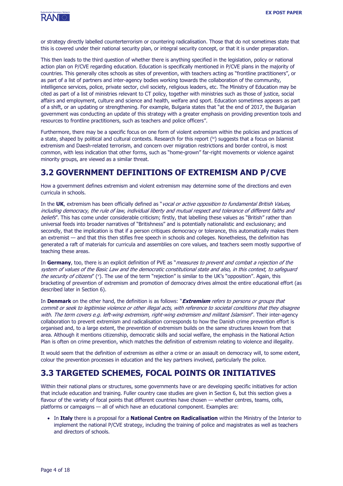

or strategy directly labelled counterterrorism or countering radicalisation. Those that do not sometimes state that this is covered under their national security plan, or integral security concept, or that it is under preparation.

This then leads to the third question of whether there is anything specified in the legislation, policy or national action plan on P/CVE regarding education. Education is specifically mentioned in P/CVE plans in the majority of countries. This generally cites schools as sites of prevention, with teachers acting as "frontline practitioners", or as part of a list of partners and inter-agency bodies working towards the collaboration of the community, intelligence services, police, private sector, civil society, religious leaders, etc. The Ministry of Education may be cited as part of a list of ministries relevant to CT policy, together with ministries such as those of justice, social affairs and employment, culture and science and health, welfare and sport. Education sometimes appears as part of a shift, or an updating or strengthening. For example, Bulgaria states that "at the end of 2017, the Bulgarian government was conducting an update of this strategy with a greater emphasis on providing prevention tools and resources to frontline practitioners, such as teachers and police officers".

Furthermore, there may be a specific focus on one form of violent extremism within the policies and practices of a state, shaped by political and cultural contexts. Research for this report (<sup>iv</sup>) suggests that a focus on Islamist extremism and Daesh-related terrorism, and concern over migration restrictions and border control, is most common, with less indication that other forms, such as "home-grown" far-right movements or violence against minority groups, are viewed as a similar threat.

### **3.2 GOVERNMENT DEFINITIONS OF EXTREMISM AND P/CVE**

How a government defines extremism and violent extremism may determine some of the directions and even curricula in schools.

In the **UK**, extremism has been officially defined as "vocal or active opposition to fundamental British Values, including democracy, the rule of law, individual liberty and mutual respect and tolerance of different faiths and beliefs". This has come under considerable criticism; firstly, that labelling these values as "British" rather than universal feeds into broader narratives of "Britishness" and is potentially nationalistic and exclusionary; and secondly, that the implication is that if a person critiques democracy or tolerance, this automatically makes them an extremist — and that this then stifles free speech in schools and colleges. Nonetheless, the definition has generated a raft of materials for curricula and assemblies on core values, and teachers seem mostly supportive of teaching these areas.

In **Germany**, too, there is an explicit definition of PVE as "measures to prevent and combat a rejection of the system of values of the Basic Law and the democratic constitutional state and also, in this context, to safeguard the security of citizens" (Y). The use of the term "rejection" is similar to the UK's "opposition". Again, this bracketing of prevention of extremism and promotion of democracy drives almost the entire educational effort (as described later in Section 6).

In **Denmark** on the other hand, the definition is as follows: "**Extremism** refers to persons or groups that commit or seek to legitimise violence or other illegal acts, with reference to societal conditions that they disagree with. The term covers e.g. left-wing extremism, right-wing extremism and militant Islamism". Their inter-agency collaboration to prevent extremism and radicalisation corresponds to how the Danish crime prevention effort is organised and, to a large extent, the prevention of extremism builds on the same structures known from that area. Although it mentions citizenship, democratic skills and social welfare, the emphasis in the National Action Plan is often on crime prevention, which matches the definition of extremism relating to violence and illegality.

It would seem that the definition of extremism as either a crime or an assault on democracy will, to some extent, colour the prevention processes in education and the key partners involved, particularly the police.

### **3.3 TARGETED SCHEMES, FOCAL POINTS OR INITIATIVES**

Within their national plans or structures, some governments have or are developing specific initiatives for action that include education and training. Fuller country case studies are given in Section 6, but this section gives a flavour of the variety of focal points that different countries have chosen — whether centres, teams, cells, platforms or campaigns — all of which have an educational component. Examples are:

• In **Italy** there is a proposal for a **National Centre on Radicalisation** within the Ministry of the Interior to implement the national P/CVE strategy, including the training of police and magistrates as well as teachers and directors of schools.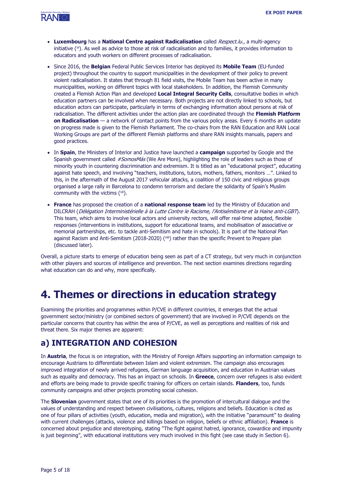

- **Luxembourg** has a **National Centre against Radicalisation** called Respect.lu., a multi-agency initiative ( vi). As well as advice to those at risk of radicalisation and to families, it provides information to educators and youth workers on different processes of radicalisation.
- Since 2016, the **Belgian** Federal Public Services Interior has deployed its **Mobile Team** (EU-funded project) throughout the country to support municipalities in the development of their policy to prevent violent radicalisation. It states that through 81 field visits, the Mobile Team has been active in many municipalities, working on different topics with local stakeholders. In addition, the Flemish Community created a Flemish Action Plan and developed **Local Integral Security Cells**, consultative bodies in which education partners can be involved when necessary. Both projects are not directly linked to schools, but education actors can participate, particularly in terms of exchanging information about persons at risk of radicalisation. The different activities under the action plan are coordinated through the **Flemish Platform on Radicalisation** — a network of contact points from the various policy areas. Every 6 months an update on progress made is given to the Flemish Parliament. The co-chairs from the RAN Education and RAN Local Working Groups are part of the different Flemish platforms and share RAN insights manuals, papers and good practices.
- In **Spain**, the Ministers of Interior and Justice have launched a **campaign** supported by Google and the Spanish government called #SomosMás (We Are More), highlighting the role of leaders such as those of minority youth in countering discrimination and extremism. It is titled as an "educational project", educating against hate speech, and involving "teachers, institutions, tutors, mothers, fathers, monitors …". Linked to this, in the aftermath of the August 2017 vehicular attacks, a coalition of 150 civic and religious groups organised a large rally in Barcelona to condemn terrorism and declare the solidarity of Spain's Muslim community with the victims ( vii).
- **France** has proposed the creation of a **national response team** led by the Ministry of Education and DILCRAH (Délégation Interministérielle à la Lutte Contre le Racisme, l'Antisémitisme et la Haine anti-LGBT). This team, which aims to involve local actors and university rectors, will offer real-time adapted, flexible responses (interventions in institutions, support for educational teams, and mobilisation of associative or memorial partnerships, etc. to tackle anti-Semitism and hate in schools). It is part of the National Plan against Racism and Anti-Semitism (2018-2020) (viii) rather than the specific Prevent to Prepare plan (discussed later).

Overall, a picture starts to emerge of education being seen as part of a CT strategy, but very much in conjunction with other players and sources of intelligence and prevention. The next section examines directions regarding what education can do and why, more specifically.

# **4. Themes or directions in education strategy**

Examining the priorities and programmes within P/CVE in different countries, it emerges that the actual government sector/ministry (or combined sectors of government) that are involved in P/CVE depends on the particular concerns that country has within the area of P/CVE, as well as perceptions and realities of risk and threat there. Six major themes are apparent:

### **a) INTEGRATION AND COHESION**

In **Austria**, the focus is on integration, with the Ministry of Foreign Affairs supporting an information campaign to encourage Austrians to differentiate between Islam and violent extremism. The campaign also encourages improved integration of newly arrived refugees, German language acquisition, and education in Austrian values such as equality and democracy. This has an impact on schools. In **Greece**, concern over refugees is also evident and efforts are being made to provide specific training for officers on certain islands. **Flanders**, too, funds community campaigns and other projects promoting social cohesion.

The **Slovenian** government states that one of its priorities is the promotion of intercultural dialogue and the values of understanding and respect between civilisations, cultures, religions and beliefs. Education is cited as one of four pillars of activities (youth, education, media and migration), with the initiative "paramount" to dealing with current challenges (attacks, violence and killings based on religion, beliefs or ethnic affiliation). **France** is concerned about prejudice and stereotyping, stating "The fight against hatred, ignorance, cowardice and impunity is just beginning", with educational institutions very much involved in this fight (see case study in Section 6).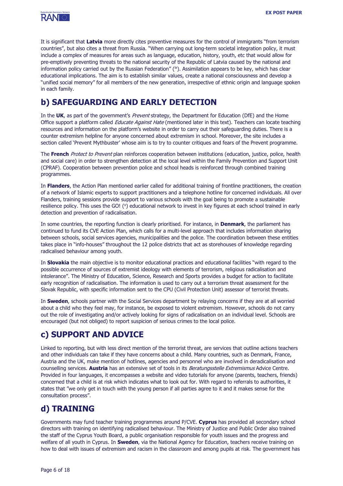

It is significant that **Latvia** more directly cites preventive measures for the control of immigrants "from terrorism countries", but also cites a threat from Russia. "When carrying out long-term societal integration policy, it must include a complex of measures for areas such as language, education, history, youth, etc that would allow for pre-emptively preventing threats to the national security of the Republic of Latvia caused by the national and information policy carried out by the Russian Federation" ( $\mathbb{K}$ ). Assimilation appears to be key, which has clear educational implications. The aim is to establish similar values, create a national consciousness and develop a "unified social memory" for all members of the new generation, irrespective of ethnic origin and language spoken in each family.

# **b) SAFEGUARDING AND EARLY DETECTION**

In the UK, as part of the government's Prevent strategy, the Department for Education (DfE) and the Home Office support a platform called Educate Against Hate (mentioned later in this text). Teachers can locate teaching resources and information on the platform's website in order to carry out their safeguarding duties. There is a counter extremism helpline for anyone concerned about extremism in school. Moreover, the site includes a section called 'Prevent Mythbuster' whose aim is to try to counter critiques and fears of the Prevent programme.

The **French** Protect to Prevent plan reinforces cooperation between institutions (education, justice, police, health and social care) in order to strengthen detection at the local level within the Family Prevention and Support Unit (CPRAF). Cooperation between prevention police and school heads is reinforced through combined training programmes.

In **Flanders**, the Action Plan mentioned earlier called for additional training of frontline practitioners, the creation of a network of Islamic experts to support practitioners and a telephone hotline for concerned individuals. All over Flanders, training sessions provide support to various schools with the goal being to promote a sustainable resilience policy. This uses the GO! (<sup>x</sup>) educational network to invest in key figures at each school trained in early detection and prevention of radicalisation.

In some countries, the reporting function is clearly prioritised. For instance, in **Denmark**, the parliament has continued to fund its CVE Action Plan, which calls for a multi-level approach that includes information sharing between schools, social services agencies, municipalities and the police. The coordination between these entities takes place in "info-houses" throughout the 12 police districts that act as storehouses of knowledge regarding radicalised behaviour among youth.

In **Slovakia** the main objective is to monitor educational practices and educational facilities "with regard to the possible occurrence of sources of extremist ideology with elements of terrorism, religious radicalisation and intolerance". The Ministry of Education, Science, Research and Sports provides a budget for action to facilitate early recognition of radicalisation. The information is used to carry out a terrorism threat assessment for the Slovak Republic, with specific information sent to the CPU (Civil Protection Unit) assessor of terrorist threats.

In **Sweden**, schools partner with the Social Services department by relaying concerns if they are at all worried about a child who they feel may, for instance, be exposed to violent extremism. However, schools do not carry out the role of investigating and/or actively looking for signs of radicalisation on an individual level. Schools are encouraged (but not obliged) to report suspicion of serious crimes to the local police.

# **c) SUPPORT AND ADVICE**

Linked to reporting, but with less direct mention of the terrorist threat, are services that outline actions teachers and other individuals can take if they have concerns about a child. Many countries, such as Denmark, France, Austria and the UK, make mention of hotlines, agencies and personnel who are involved in deradicalisation and counselling services. **Austria** has an extensive set of tools in its Beratungsstelle Extremismus Advice Centre. Provided in four languages, it encompasses a website and video tutorials for anyone (parents, teachers, friends) concerned that a child is at risk which indicates what to look out for. With regard to referrals to authorities, it states that "we only get in touch with the young person if all parties agree to it and it makes sense for the consultation process".

# **d) TRAINING**

Governments may fund teacher training programmes around P/CVE. **Cyprus** has provided all secondary school directors with training on identifying radicalised behaviour. The Ministry of Justice and Public Order also trained the staff of the Cyprus Youth Board, a public organisation responsible for youth issues and the progress and welfare of all youth in Cyprus. In **Sweden**, via the National Agency for Education, teachers receive training on how to deal with issues of extremism and racism in the classroom and among pupils at risk. The government has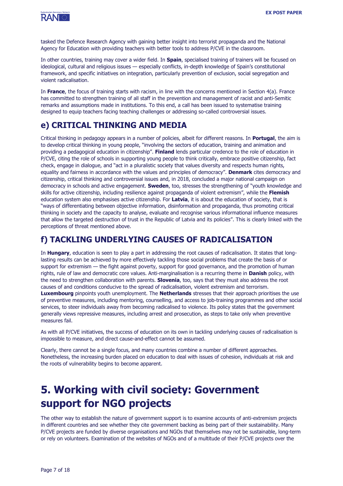

tasked the Defence Research Agency with gaining better insight into terrorist propaganda and the National Agency for Education with providing teachers with better tools to address P/CVE in the classroom.

In other countries, training may cover a wider field. In **Spain**, specialised training of trainers will be focused on ideological, cultural and religious issues — especially conflicts, in-depth knowledge of Spain's constitutional framework, and specific initiatives on integration, particularly prevention of exclusion, social segregation and violent radicalisation.

In **France**, the focus of training starts with racism, in line with the concerns mentioned in Section 4(a). France has committed to strengthen training of all staff in the prevention and management of racist and anti-Semitic remarks and assumptions made in institutions. To this end, a call has been issued to systematise training designed to equip teachers facing teaching challenges or addressing so-called controversial issues.

### **e) CRITICAL THINKING AND MEDIA**

Critical thinking in pedagogy appears in a number of policies, albeit for different reasons. In **Portugal**, the aim is to develop critical thinking in young people, "involving the sectors of education, training and animation and providing a pedagogical education in citizenship". **Finland** lends particular credence to the role of education in P/CVE, citing the role of schools in supporting young people to think critically, embrace positive citizenship, fact check, engage in dialogue, and "act in a pluralistic society that values diversity and respects human rights, equality and fairness in accordance with the values and principles of democracy". **Denmark** cites democracy and citizenship, critical thinking and controversial issues and, in 2018, concluded a major national campaign on democracy in schools and active engagement. **Sweden**, too, stresses the strengthening of "youth knowledge and skills for active citizenship, including resilience against propaganda of violent extremism", while the **Flemish** education system also emphasises active citizenship. For **Latvia**, it is about the education of society, that is "ways of differentiating between objective information, disinformation and propaganda, thus promoting critical thinking in society and the capacity to analyse, evaluate and recognise various informational influence measures that allow the targeted destruction of trust in the Republic of Latvia and its policies". This is clearly linked with the perceptions of threat mentioned above.

### **f) TACKLING UNDERLYING CAUSES OF RADICALISATION**

In **Hungary**, education is seen to play a part in addressing the root causes of radicalisation. It states that longlasting results can be achieved by more effectively tackling those social problems that create the basis of or support for extremism — the fight against poverty, support for good governance, and the promotion of human rights, rule of law and democratic core values. Anti-marginalisation is a recurring theme in **Danish** policy, with the need to strengthen collaboration with parents. **Slovenia**, too, says that they must also address the root causes of and conditions conducive to the spread of radicalisation, violent extremism and terrorism. **Luxembourg** pinpoints youth unemployment. The **Netherlands** stresses that their approach prioritises the use of preventive measures, including mentoring, counselling, and access to job-training programmes and other social services, to steer individuals away from becoming radicalised to violence. Its policy states that the government generally views repressive measures, including arrest and prosecution, as steps to take only when preventive measures fail.

As with all P/CVE initiatives, the success of education on its own in tackling underlying causes of radicalisation is impossible to measure, and direct cause-and-effect cannot be assumed.

Clearly, there cannot be a single focus, and many countries combine a number of different approaches. Nonetheless, the increasing burden placed on education to deal with issues of cohesion, individuals at risk and the roots of vulnerability begins to become apparent.

# **5. Working with civil society: Government support for NGO projects**

The other way to establish the nature of government support is to examine accounts of anti-extremism projects in different countries and see whether they cite government backing as being part of their sustainability. Many P/CVE projects are funded by diverse organisations and NGOs that themselves may not be sustainable, long-term or rely on volunteers. Examination of the websites of NGOs and of a multitude of their P/CVE projects over the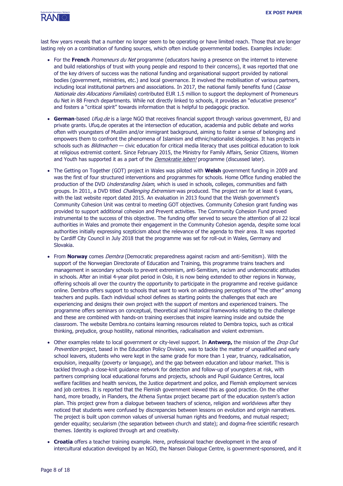

last few years reveals that a number no longer seem to be operating or have limited reach. Those that are longer lasting rely on a combination of funding sources, which often include governmental bodies. Examples include:

- For the **French** Promeneurs du Net programme (educators having a presence on the internet to intervene and build relationships of trust with young people and respond to their concerns), it was reported that one of the key drivers of success was the national funding and organisational support provided by national bodies (government, ministries, etc.) and local governance. It involved the mobilisation of various partners, including local institutional partners and associations. In 2017, the national family benefits fund (Caisse Nationale des Allocations Familiales) contributed EUR 1.5 million to support the deployment of Promeneurs du Net in 88 French departments. While not directly linked to schools, it provides an "educative presence" and fosters a "critical spirit" towards information that is helpful to pedagogic practice.
- **German**-based *Ufug.de* is a large NGO that receives financial support through various government, EU and private grants. Ufuq.de operates at the intersection of education, academia and public debate and works often with youngsters of Muslim and/or immigrant background, aiming to foster a sense of belonging and empowers them to confront the phenomena of Islamism and ethnic/nationalist ideologies. It has projects in schools such as *Bildmachen* — civic education for critical media literacy that uses political education to look at religious extremist content. Since February 2015, the Ministry for Family Affairs, Senior Citizens, Women and Youth has supported it as a part of the *[Demokratie leben!](https://www.demokratie-leben.de/)* programme (discussed later).
- The Getting on Together (GOT) project in Wales was piloted with **Welsh** government funding in 2009 and was the first of four structured interventions and programmes for schools. Home Office funding enabled the production of the DVD Understanding Islam, which is used in schools, colleges, communities and faith groups. In 2011, a DVD titled *Challenging Extremism* was produced. The project ran for at least 6 years, with the last website report dated 2015. An evaluation in 2013 found that the Welsh government's Community Cohesion Unit was central to meeting GOT objectives. Community Cohesion grant funding was provided to support additional cohesion and Prevent activities. The Community Cohesion Fund proved instrumental to the success of this objective. The funding offer served to secure the attention of all 22 local authorities in Wales and promote their engagement in the Community Cohesion agenda, despite some local authorities initially expressing scepticism about the relevance of the agenda to their area. It was reported by Cardiff City Council in July 2018 that the programme was set for roll-out in Wales, Germany and Slovakia.
- From **Norway** comes Dembra (Democratic preparedness against racism and anti-Semitism). With the support of the Norwegian Directorate of Education and Training, this programme trains teachers and management in secondary schools to prevent extremism, anti-Semitism, racism and undemocratic attitudes in schools. After an initial 4-year pilot period in Oslo, it is now being extended to other regions in Norway, offering schools all over the country the opportunity to participate in the programme and receive guidance online. Dembra offers support to schools that want to work on addressing perceptions of "the other" among teachers and pupils. Each individual school defines as starting points the challenges that each are experiencing and designs their own project with the support of mentors and experienced trainers. The programme offers seminars on conceptual, theoretical and historical frameworks relating to the challenge and these are combined with hands-on training exercises that inspire learning inside and outside the classroom. The website Dembra.no contains learning resources related to Dembra topics, such as critical thinking, prejudice, group hostility, national minorities, radicalisation and violent extremism.
- Other examples relate to local government or city-level support. In **Antwerp,** the mission of the Drop Out Prevention project, based in the Education Policy Division, was to tackle the matter of unqualified and early school leavers, students who were kept in the same grade for more than 1 year, truancy, radicalisation, expulsion, inequality (poverty or language), and the gap between education and labour market. This is tackled through a close-knit guidance network for detection and follow-up of youngsters at risk, with partners comprising local educational forums and projects, schools and Pupil Guidance Centres, local welfare facilities and health services, the Justice department and police, and Flemish employment services and job centres. It is reported that the Flemish government viewed this as good practice. On the other hand, more broadly, in Flanders, the Athena Syntax project became part of the education system's action plan. This project grew from a dialogue between teachers of science, religion and worldviews after they noticed that students were confused by discrepancies between lessons on evolution and origin narratives. The project is built upon common values of universal human rights and freedoms, and mutual respect; gender equality; secularism (the separation between church and state); and dogma-free scientific research themes. Identity is explored through art and creativity.
- **Croatia** offers a teacher training example. Here, professional teacher development in the area of intercultural education developed by an NGO, the Nansen Dialogue Centre, is government-sponsored, and it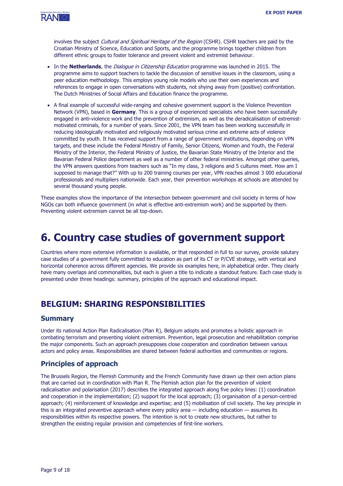

involves the subject Cultural and Spiritual Heritage of the Region (CSHR). CSHR teachers are paid by the Croatian Ministry of Science, Education and Sports, and the programme brings together children from different ethnic groups to foster tolerance and prevent violent and extremist behaviour.

- In the **Netherlands**, the Dialogue in Citizenship Education programme was launched in 2015. The programme aims to support teachers to tackle the discussion of sensitive issues in the classroom, using a peer education methodology. This employs young role models who use their own experiences and references to engage in open conversations with students, not shying away from (positive) confrontation. The Dutch Ministries of Social Affairs and Education finance the programme.
- A final example of successful wide-ranging and cohesive government support is the Violence Prevention Network (VPN), based in **Germany**. This is a group of experienced specialists who have been successfully engaged in anti-violence work and the prevention of extremism, as well as the deradicalisation of extremistmotivated criminals, for a number of years. Since 2001, the VPN team has been working successfully in reducing ideologically motivated and religiously motivated serious crime and extreme acts of violence committed by youth. It has received support from a range of government institutions, depending on VPN targets, and these include the Federal Ministry of Family, Senior Citizens, Women and Youth, the Federal Ministry of the Interior, the Federal Ministry of Justice, the Bavarian State Ministry of the Interior and the Bavarian Federal Police department as well as a number of other federal ministries. Amongst other queries, the VPN answers questions from teachers such as "In my class, 3 religions and 5 cultures meet. How am I supposed to manage that?" With up to 200 training courses per year, VPN reaches almost 3 000 educational professionals and multipliers nationwide. Each year, their prevention workshops at schools are attended by several thousand young people.

These examples show the importance of the intersection between government and civil society in terms of how NGOs can both influence government (in what is effective anti-extremism work) and be supported by them. Preventing violent extremism cannot be all top-down.

# **6. Country case studies of government support**

Countries where more extensive information is available, or that responded in full to our survey, provide salutary case studies of a government fully committed to education as part of its CT or P/CVE strategy, with vertical and horizontal coherence across different agencies. We provide six examples here, in alphabetical order. They clearly have many overlaps and commonalities, but each is given a title to indicate a standout feature. Each case study is presented under three headings: summary, principles of the approach and educational impact.

### **BELGIUM: SHARING RESPONSIBILITIES**

#### **Summary**

Under its national Action Plan Radicalisation (Plan R), Belgium adopts and promotes a holistic approach in combating terrorism and preventing violent extremism. Prevention, legal prosecution and rehabilitation comprise the major components. Such an approach presupposes close cooperation and coordination between various actors and policy areas. Responsibilities are shared between federal authorities and communities or regions.

#### **Principles of approach**

The Brussels Region, the Flemish Community and the French Community have drawn up their own action plans that are carried out in coordination with Plan R. The Flemish action plan for the prevention of violent radicalisation and polarisation (2017) describes the integrated approach along five policy lines: (1) coordination and cooperation in the implementation; (2) support for the local approach; (3) organisation of a person-centred approach; (4) reinforcement of knowledge and expertise; and (5) mobilisation of civil society. The key principle in this is an integrated preventive approach where every policy area — including education — assumes its responsibilities within its respective powers. The intention is not to create new structures, but rather to strengthen the existing regular provision and competencies of first-line workers.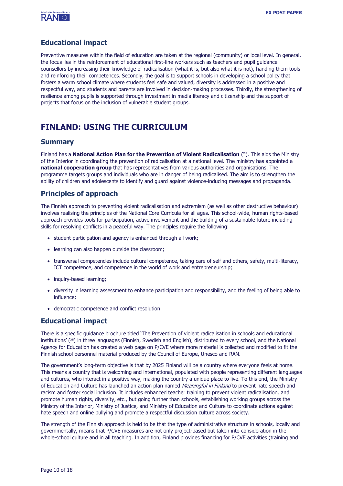

#### **Educational impact**

Preventive measures within the field of education are taken at the regional (community) or local level. In general, the focus lies in the reinforcement of educational first-line workers such as teachers and pupil guidance counsellors by increasing their knowledge of radicalisation (what it is, but also what it is not), handing them tools and reinforcing their competences. Secondly, the goal is to support schools in developing a school policy that fosters a warm school climate where students feel safe and valued, diversity is addressed in a positive and respectful way, and students and parents are involved in decision-making processes. Thirdly, the strengthening of resilience among pupils is supported through investment in media literacy and citizenship and the support of projects that focus on the inclusion of vulnerable student groups.

### **FINLAND: USING THE CURRICULUM**

#### **Summary**

Finland has a **National Action Plan for the Prevention of Violent Radicalisation** (<sup>xi</sup>). This aids the Ministry of the Interior in coordinating the prevention of radicalisation at a national level. The ministry has appointed a **national cooperation group** that has representatives from various authorities and organisations. The programme targets groups and individuals who are in danger of being radicalised. The aim is to strengthen the ability of children and adolescents to identify and guard against violence-inducing messages and propaganda.

#### **Principles of approach**

The Finnish approach to preventing violent radicalisation and extremism (as well as other destructive behaviour) involves realising the principles of the National Core Curricula for all ages. This school-wide, human rights-based approach provides tools for participation, active involvement and the building of a sustainable future including skills for resolving conflicts in a peaceful way. The principles require the following:

- student participation and agency is enhanced through all work;
- learning can also happen outside the classroom;
- transversal competencies include cultural competence, taking care of self and others, safety, multi-literacy, ICT competence, and competence in the world of work and entrepreneurship;
- inquiry-based learning:
- diversity in learning assessment to enhance participation and responsibility, and the feeling of being able to influence;
- democratic competence and conflict resolution.

#### **Educational impact**

There is a specific guidance brochure titled 'The Prevention of violent radicalisation in schools and educational institutions' ( xii) in three languages (Finnish, Swedish and English), distributed to every school, and the National Agency for Education has created a web page on P/CVE where more material is collected and modified to fit the Finnish school personnel material produced by the Council of Europe, Unesco and RAN.

The government's long-term objective is that by 2025 Finland will be a country where everyone feels at home. This means a country that is welcoming and international, populated with people representing different languages and cultures, who interact in a positive way, making the country a unique place to live. To this end, the Ministry of Education and Culture has launched an action plan named Meaningful in Finland to prevent hate speech and racism and foster social inclusion. It includes enhanced teacher training to prevent violent radicalisation, and promote human rights, diversity, etc., but going further than schools, establishing working groups across the Ministry of the Interior, Ministry of Justice, and Ministry of Education and Culture to coordinate actions against hate speech and online bullying and promote a respectful discussion culture across society.

The strength of the Finnish approach is held to be that the type of administrative structure in schools, locally and governmentally, means that P/CVE measures are not only project-based but taken into consideration in the whole-school culture and in all teaching. In addition, Finland provides financing for P/CVE activities (training and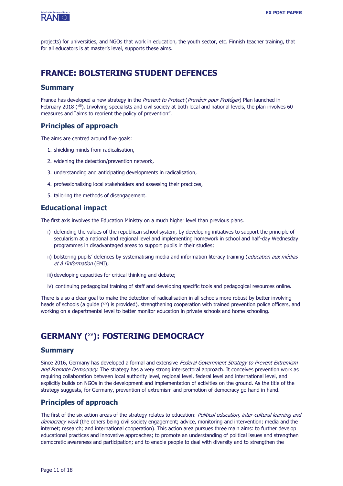

projects) for universities, and NGOs that work in education, the youth sector, etc. Finnish teacher training, that for all educators is at master's level, supports these aims.

### **FRANCE: BOLSTERING STUDENT DEFENCES**

#### **Summary**

France has developed a new strategy in the Prevent to Protect (Prevénir pour Protéger) Plan launched in February 2018 (<sup>xiii</sup>). Involving specialists and civil society at both local and national levels, the plan involves 60 measures and "aims to reorient the policy of prevention".

#### **Principles of approach**

The aims are centred around five goals:

- 1. shielding minds from radicalisation,
- 2. widening the detection/prevention network,
- 3. understanding and anticipating developments in radicalisation,
- 4. professionalising local stakeholders and assessing their practices,
- 5. tailoring the methods of disengagement.

#### **Educational impact**

The first axis involves the Education Ministry on a much higher level than previous plans.

- i) defending the values of the republican school system, by developing initiatives to support the principle of secularism at a national and regional level and implementing homework in school and half-day Wednesday programmes in disadvantaged areas to support pupils in their studies;
- ii) bolstering pupils' defences by systematising media and information literacy training (education aux médias et à l'information (EMI);
- iii) developing capacities for critical thinking and debate;
- iv) continuing pedagogical training of staff and developing specific tools and pedagogical resources online.

There is also a clear goal to make the detection of radicalisation in all schools more robust by better involving heads of schools (a guide (<sup>xiv</sup>) is provided), strengthening cooperation with trained prevention police officers, and working on a departmental level to better monitor education in private schools and home schooling.

# **GERMANY (** xv**): FOSTERING DEMOCRACY**

#### **Summary**

Since 2016, Germany has developed a formal and extensive Federal Government Strategy to Prevent Extremism and Promote Democracy. The strategy has a very strong intersectoral approach. It conceives prevention work as requiring collaboration between local authority level, regional level, federal level and international level, and explicitly builds on NGOs in the development and implementation of activities on the ground. As the title of the strategy suggests, for Germany, prevention of extremism and promotion of democracy go hand in hand.

#### **Principles of approach**

The first of the six action areas of the strategy relates to education: Political education, inter-cultural learning and democracy work (the others being civil society engagement; advice, monitoring and intervention; media and the internet; research; and international cooperation). This action area pursues three main aims: to further develop educational practices and innovative approaches; to promote an understanding of political issues and strengthen democratic awareness and participation; and to enable people to deal with diversity and to strengthen the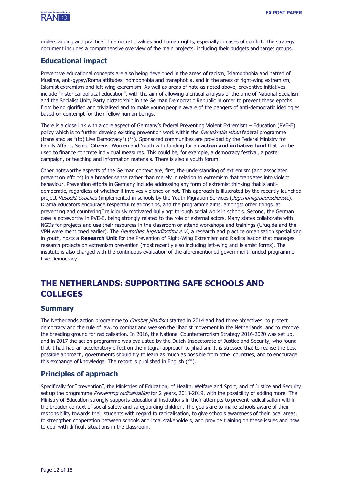

understanding and practice of democratic values and human rights, especially in cases of conflict. The strategy document includes a comprehensive overview of the main projects, including their budgets and target groups.

#### **Educational impact**

Preventive educational concepts are also being developed in the areas of racism, Islamophobia and hatred of Muslims, anti-gypsy/Roma attitudes, homophobia and transphobia, and in the areas of right-wing extremism, Islamist extremism and left-wing extremism. As well as areas of hate as noted above, preventive initiatives include "historical political education", with the aim of allowing a critical analysis of the time of National Socialism and the Socialist Unity Party dictatorship in the German Democratic Republic in order to prevent these epochs from being glorified and trivialised and to make young people aware of the dangers of anti-democratic ideologies based on contempt for their fellow human beings.

There is a close link with a core aspect of Germany's federal Preventing Violent Extremism – Education (PVE-E) policy which is to further develop existing prevention work within the *Demokratie leben* federal programme (translated as "(to) Live Democracy") (<sup>xvi</sup>). Sponsored communities are provided by the Federal Ministry for Family Affairs, Senior Citizens, Women and Youth with funding for an **action and initiative fund** that can be used to finance concrete individual measures. This could be, for example, a democracy festival, a poster campaign, or teaching and information materials. There is also a youth forum.

Other noteworthy aspects of the German context are, first, the understanding of extremism (and associated prevention efforts) in a broader sense rather than merely in relation to extremism that translates into violent behaviour. Prevention efforts in Germany include addressing any form of extremist thinking that is antidemocratic, regardless of whether it involves violence or not. This approach is illustrated by the recently launched project Respekt Coaches (implemented in schools by the Youth Migration Services (Jugendmigrationsdienste). Drama educators encourage respectful relationships, and the programme aims, amongst other things, at preventing and countering "religiously motivated bullying" through social work in schools. Second, the German case is noteworthy in PVE-E, being strongly related to the role of external actors. Many states collaborate with NGOs for projects and use their resources in the classroom or attend workshops and trainings (Ufuq.de and the VPN were mentioned earlier). The *Deutsches Jugendinstitut e.V.*, a research and practice organisation specialising in youth, hosts a **Research Unit** for the Prevention of Right-Wing Extremism and Radicalisation that manages research projects on extremism prevention (most recently also including left-wing and Islamist forms). The institute is also charged with the continuous evaluation of the aforementioned government-funded programme Live Democracy.

# **THE NETHERLANDS: SUPPORTING SAFE SCHOOLS AND COLLEGES**

#### **Summary**

The Netherlands action programme to *Combat jihadism* started in 2014 and had three objectives: to protect democracy and the rule of law, to combat and weaken the jihadist movement in the Netherlands, and to remove the breeding ground for radicalisation. In 2016, the National Counterterrorism Strategy 2016-2020 was set up, and in 2017 the action programme was evaluated by the Dutch Inspectorate of Justice and Security, who found that it had had an acceleratory effect on the integral approach to jihadism. It is stressed that to realise the best possible approach, governments should try to learn as much as possible from other countries, and to encourage this exchange of knowledge. The report is published in English (<sup>xvii</sup>).

#### **Principles of approach**

Specifically for "prevention", the Ministries of Education, of Health, Welfare and Sport, and of Justice and Security set up the programme Preventing radicalization for 2 years, 2018-2019, with the possibility of adding more. The Ministry of Education strongly supports educational institutions in their attempts to prevent radicalisation within the broader context of social safety and safeguarding children. The goals are to make schools aware of their responsibility towards their students with regard to radicalisation, to give schools awareness of their local areas, to strengthen cooperation between schools and local stakeholders, and provide training on these issues and how to deal with difficult situations in the classroom.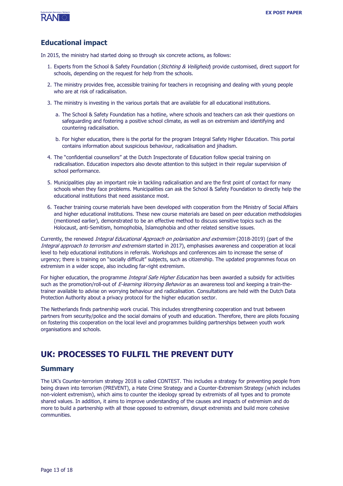

#### **Educational impact**

In 2015, the ministry had started doing so through six concrete actions, as follows:

- 1. Experts from the School & Safety Foundation (Stichting & Veiligheid) provide customised, direct support for schools, depending on the request for help from the schools.
- 2. The ministry provides free, accessible training for teachers in recognising and dealing with young people who are at risk of radicalisation.
- 3. The ministry is investing in the various portals that are available for all educational institutions.
	- a. The School & Safety Foundation has a hotline, where schools and teachers can ask their questions on safeguarding and fostering a positive school climate, as well as on extremism and identifying and countering radicalisation.
	- b. For higher education, there is the portal for the program Integral Safety Higher Education. This portal contains information about suspicious behaviour, radicalisation and jihadism.
- 4. The "confidential counsellors" at the Dutch Inspectorate of Education follow special training on radicalisation. Education inspectors also devote attention to this subject in their regular supervision of school performance.
- 5. Municipalities play an important role in tackling radicalisation and are the first point of contact for many schools when they face problems. Municipalities can ask the School & Safety Foundation to directly help the educational institutions that need assistance most.
- 6. Teacher training course materials have been developed with cooperation from the Ministry of Social Affairs and higher educational institutions. These new course materials are based on peer education methodologies (mentioned earlier), demonstrated to be an effective method to discuss sensitive topics such as the Holocaust, anti-Semitism, homophobia, Islamophobia and other related sensitive issues.

Currently, the renewed *Integral Educational Approach on polarisation and extremism* (2018-2019) (part of the Integral approach to terrorism and extremism started in 2017), emphasises awareness and cooperation at local level to help educational institutions in referrals. Workshops and conferences aim to increase the sense of urgency; there is training on "socially difficult" subjects, such as citizenship. The updated programmes focus on extremism in a wider scope, also including far-right extremism.

For higher education, the programme Integral Safe Higher Education has been awarded a subsidy for activities such as the promotion/roll-out of E-learning Worrying Behavior as an awareness tool and keeping a train-thetrainer available to advise on worrying behaviour and radicalisation. Consultations are held with the Dutch Data Protection Authority about a privacy protocol for the higher education sector.

The Netherlands finds partnership work crucial. This includes strengthening cooperation and trust between partners from security/police and the social domains of youth and education. Therefore, there are pilots focusing on fostering this cooperation on the local level and programmes building partnerships between youth work organisations and schools.

### **UK: PROCESSES TO FULFIL THE PREVENT DUTY**

#### **Summary**

The UK's Counter-terrorism strategy 2018 is called CONTEST. This includes a strategy for preventing people from being drawn into terrorism (PREVENT), a Hate Crime Strategy and a Counter-Extremism Strategy (which includes non-violent extremism), which aims to counter the ideology spread by extremists of all types and to promote shared values. In addition, it aims to improve understanding of the causes and impacts of extremism and do more to build a partnership with all those opposed to extremism, disrupt extremists and build more cohesive communities.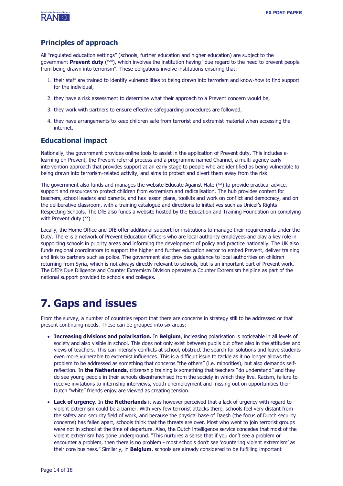

#### **Principles of approach**

All "regulated education settings" (schools, further education and higher education) are subject to the government **Prevent duty** ( xviii), which involves the institution having "due regard to the need to prevent people from being drawn into terrorism". These obligations involve institutions ensuring that:

- 1. their staff are trained to identify vulnerabilities to being drawn into terrorism and know-how to find support for the individual,
- 2. they have a risk assessment to determine what their approach to a Prevent concern would be,
- 3. they work with partners to ensure effective safeguarding procedures are followed,
- 4. they have arrangements to keep children safe from terrorist and extremist material when accessing the internet.

#### **Educational impact**

Nationally, the government provides online tools to assist in the application of Prevent duty. This includes elearning on Prevent, the Prevent referral process and a programme named Channel, a multi-agency early intervention approach that provides support at an early stage to people who are identified as being vulnerable to being drawn into terrorism-related activity, and aims to protect and divert them away from the risk.

The government also funds and manages the website Educate Against Hate  $(x^{\text{ix}})$  to provide practical advice, support and resources to protect children from extremism and radicalisation. The hub provides content for teachers, school leaders and parents, and has lesson plans, toolkits and work on conflict and democracy, and on the deliberative classroom, with a training catalogue and directions to initiatives such as Unicef's Rights Respecting Schools. The DfE also funds a website hosted by the Education and Training Foundation on complying with Prevent duty (xx).

Locally, the Home Office and DfE offer additional support for institutions to manage their requirements under the Duty. There is a network of Prevent Education Officers who are local authority employees and play a key role in supporting schools in priority areas and informing the development of policy and practice nationally. The UK also funds regional coordinators to support the higher and further education sector to embed Prevent, deliver training and link to partners such as police. The government also provides guidance to local authorities on children returning from Syria, which is not always directly relevant to schools, but is an important part of Prevent work. The DfE's Due Diligence and Counter Extremism Division operates a Counter Extremism helpline as part of the national support provided to schools and colleges.

# **7. Gaps and issues**

From the survey, a number of countries report that there are concerns in strategy still to be addressed or that present continuing needs. These can be grouped into six areas:

- **Increasing divisions and polarisation.** In **Belgium**, increasing polarisation is noticeable in all levels of society and also visible in school. This does not only exist between pupils but often also in the attitudes and views of teachers. This can intensify conflicts at school, obstruct the search for solutions and leave students even more vulnerable to extremist influences. This is a difficult issue to tackle as it no longer allows the problem to be addressed as something that concerns "the others" (i.e. minorities), but also demands selfreflection. In **the Netherlands**, citizenship training is something that teachers "do understand" and they do see young people in their schools disenfranchised from the society in which they live. Racism, failure to receive invitations to internship interviews, youth unemployment and missing out on opportunities their Dutch "white" friends enjoy are viewed as creating tension.
- **Lack of urgency.** In **the Netherlands** it was however perceived that a lack of urgency with regard to violent extremism could be a barrier. With very few terrorist attacks there, schools feel very distant from the safety and security field of work, and because the physical base of Daesh (the focus of Dutch security concerns) has fallen apart, schools think that the threats are over. Most who went to join terrorist groups were not in school at the time of departure. Also, the Dutch intelligence service concedes that most of the violent extremism has gone underground. "This nurtures a sense that if you don't see a problem or encounter a problem, then there is no problem - most schools don't see 'countering violent extremism' as their core business." Similarly, in **Belgium**, schools are already considered to be fulfilling important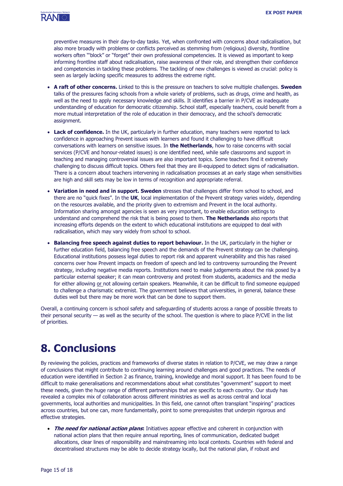

preventive measures in their day-to-day tasks. Yet, when confronted with concerns about radicalisation, but also more broadly with problems or conflicts perceived as stemming from (religious) diversity, frontline workers often "'block" or "forget" their own professional competencies. It is viewed as important to keep informing frontline staff about radicalisation, raise awareness of their role, and strengthen their confidence and competencies in tackling these problems. The tackling of new challenges is viewed as crucial: policy is seen as largely lacking specific measures to address the extreme right.

- **A raft of other concerns.** Linked to this is the pressure on teachers to solve multiple challenges. **Sweden** talks of the pressures facing schools from a whole variety of problems, such as drugs, crime and health, as well as the need to apply necessary knowledge and skills. It identifies a barrier in P/CVE as inadequate understanding of education for democratic citizenship. School staff, especially teachers, could benefit from a more mutual interpretation of the role of education in their democracy, and the school's democratic assignment.
- **Lack of confidence.** In the UK, particularly in further education, many teachers were reported to lack confidence in approaching Prevent issues with learners and found it challenging to have difficult conversations with learners on sensitive issues. In **the Netherlands**, how to raise concerns with social services (P/CVE and honour-related issues) is one identified need, while safe classrooms and support in teaching and managing controversial issues are also important topics. Some teachers find it extremely challenging to discuss difficult topics. Others feel that they are ill-equipped to detect signs of radicalisation. There is a concern about teachers intervening in radicalisation processes at an early stage when sensitivities are high and skill sets may be low in terms of recognition and appropriate referral.
- **Variation in need and in support. Sweden** stresses that challenges differ from school to school, and there are no "quick fixes". In the **UK**, local implementation of the Prevent strategy varies widely, depending on the resources available, and the priority given to extremism and Prevent in the local authority. Information sharing amongst agencies is seen as very important, to enable education settings to understand and comprehend the risk that is being posed to them. **The Netherlands** also reports that increasing efforts depends on the extent to which educational institutions are equipped to deal with radicalisation, which may vary widely from school to school.
- **Balancing free speech against duties to report behaviour.** In the UK, particularly in the higher or further education field, balancing free speech and the demands of the Prevent strategy can be challenging. Educational institutions possess legal duties to report risk and apparent vulnerability and this has raised concerns over how Prevent impacts on freedom of speech and led to controversy surrounding the Prevent strategy, including negative media reports. Institutions need to make judgements about the risk posed by a particular external speaker; it can mean controversy and protest from students, academics and the media for either allowing or not allowing certain speakers. Meanwhile, it can be difficult to find someone equipped to challenge a charismatic extremist. The government believes that universities, in general, balance these duties well but there may be more work that can be done to support them.

Overall, a continuing concern is school safety and safeguarding of students across a range of possible threats to their personal security — as well as the security of the school. The question is where to place P/CVE in the list of priorities.

# **8. Conclusions**

By reviewing the policies, practices and frameworks of diverse states in relation to P/CVE, we may draw a range of conclusions that might contribute to continuing learning around challenges and good practices. The needs of education were identified in Section 2 as finance, training, knowledge and moral support. It has been found to be difficult to make generalisations and recommendations about what constitutes "government" support to meet these needs, given the huge range of different partnerships that are specific to each country. Our study has revealed a complex mix of collaboration across different ministries as well as across central and local governments, local authorities and municipalities. In this field, one cannot often transplant "inspiring" practices across countries, but one can, more fundamentally, point to some prerequisites that underpin rigorous and effective strategies.

• **The need for national action plans:** Initiatives appear effective and coherent in conjunction with national action plans that then require annual reporting, lines of communication, dedicated budget allocations, clear lines of responsibility and mainstreaming into local contexts. Countries with federal and decentralised structures may be able to decide strategy locally, but the national plan, if robust and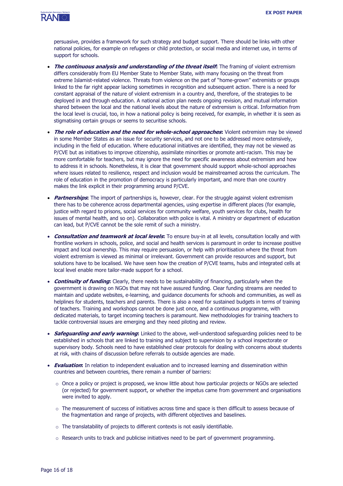

persuasive, provides a framework for such strategy and budget support. There should be links with other national policies, for example on refugees or child protection, or social media and internet use, in terms of support for schools.

- **The continuous analysis and understanding of the threat itself:** The framing of violent extremism differs considerably from EU Member State to Member State, with many focusing on the threat from extreme Islamist-related violence. Threats from violence on the part of "home-grown" extremists or groups linked to the far right appear lacking sometimes in recognition and subsequent action. There is a need for constant appraisal of the nature of violent extremism in a country and, therefore, of the strategies to be deployed in and through education. A national action plan needs ongoing revision, and mutual information shared between the local and the national levels about the nature of extremism is critical. Information from the local level is crucial, too, in how a national policy is being received, for example, in whether it is seen as stigmatising certain groups or seems to securitise schools.
- **The role of education and the need for whole-school approaches:** Violent extremism may be viewed in some Member States as an issue for security services, and not one to be addressed more extensively, including in the field of education. Where educational initiatives are identified, they may not be viewed as P/CVE but as initiatives to improve citizenship, assimilate minorities or promote anti-racism. This may be more comfortable for teachers, but may ignore the need for specific awareness about extremism and how to address it in schools. Nonetheless, it is clear that government should support whole-school approaches where issues related to resilience, respect and inclusion would be mainstreamed across the curriculum. The role of education in the promotion of democracy is particularly important, and more than one country makes the link explicit in their programming around P/CVE.
- **Partnerships:** The import of partnerships is, however, clear. For the struggle against violent extremism there has to be coherence across departmental agencies, using expertise in different places (for example, justice with regard to prisons, social services for community welfare, youth services for clubs, health for issues of mental health, and so on). Collaboration with police is vital. A ministry or department of education can lead, but P/CVE cannot be the sole remit of such a ministry.
- **Consultation and teamwork at local levels:** To ensure buy-in at all levels, consultation locally and with frontline workers in schools, police, and social and health services is paramount in order to increase positive impact and local ownership. This may require persuasion, or help with prioritisation where the threat from violent extremism is viewed as minimal or irrelevant. Government can provide resources and support, but solutions have to be localised. We have seen how the creation of P/CVE teams, hubs and integrated cells at local level enable more tailor-made support for a school.
- **Continuity of funding:** Clearly, there needs to be sustainability of financing, particularly when the government is drawing on NGOs that may not have assured funding. Clear funding streams are needed to maintain and update websites, e-learning, and guidance documents for schools and communities, as well as helplines for students, teachers and parents. There is also a need for sustained budgets in terms of training of teachers. Training and workshops cannot be done just once, and a continuous programme, with dedicated materials, to target incoming teachers is paramount. New methodologies for training teachers to tackle controversial issues are emerging and they need piloting and review.
- **Safeguarding and early warning:** Linked to the above, well-understood safeguarding policies need to be established in schools that are linked to training and subject to supervision by a school inspectorate or supervisory body. Schools need to have established clear protocols for dealing with concerns about students at risk, with chains of discussion before referrals to outside agencies are made.
- **Evaluation:** In relation to independent evaluation and to increased learning and dissemination within countries and between countries, there remain a number of barriers:
	- $\circ$  Once a policy or project is proposed, we know little about how particular projects or NGOs are selected (or rejected) for government support, or whether the impetus came from government and organisations were invited to apply.
	- $\circ$  The measurement of success of initiatives across time and space is then difficult to assess because of the fragmentation and range of projects, with different objectives and baselines.
	- o The translatability of projects to different contexts is not easily identifiable.
	- o Research units to track and publicise initiatives need to be part of government programming.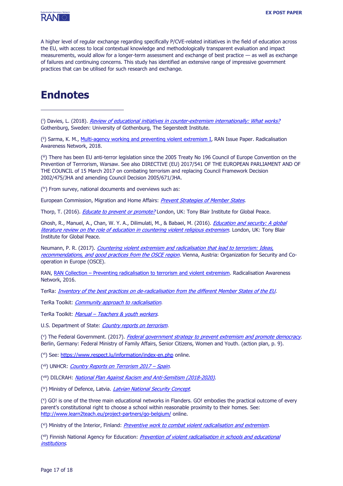

A higher level of regular exchange regarding specifically P/CVE-related initiatives in the field of education across the EU, with access to local contextual knowledge and methodologically transparent evaluation and impact measurements, would allow for a longer-term assessment and exchange of best practice — as well as exchange of failures and continuing concerns. This study has identified an extensive range of impressive government practices that can be utilised for such research and exchange.

# **Endnotes**

 $\overline{a}$ 

(<sup>i</sup>) Davies, L. (2018). *[Review of educational initiatives in counter-extremism internationally:](https://segerstedtinstitutet.gu.se/digitalAssets/1673/1673173_review-of-educational-initiatives-180110.pdf) What works?* Gothenburg, Sweden: University of Gothenburg, The Segerstedt Institute.

(ii) Sarma, K. M., *[Multi-agency working and preventing violent extremism](https://ec.europa.eu/home-affairs/sites/homeaffairs/files/what-we-do/networks/radicalisation_awareness_network/ran-papers/docs/multi-agency-working-preventing-violent-extremism-042018_en.pdf) I*, RAN Issue Paper. Radicalisation Awareness Network, 2018.

( iii) There has been EU anti-terror legislation since the 2005 Treaty No 196 Council of Europe Convention on the Prevention of Terrrorism, Warsaw. See also DIRECTIVE (EU) 2017/541 OF THE EUROPEAN PARLIAMENT AND OF THE COUNCIL of 15 March 2017 on combating terrorism and replacing Council Framework Decision 2002/475/JHA and amending Council Decision 2005/671/JHA.

( iv) From survey, national documents and overviews such as:

European Commission, Migration and Home Affairs: [Prevent Strategies of Member States](file:///C:/Users/User/Documents/00-SMC%20Professional/01-Client%20Base/Prevent%20Strategies%20of%20Member%20States).

Thorp, T. (2016). *[Educate to prevent or promote?](https://institute.global/insight/co-existence/education-prevent-or-promote)* London, UK: Tony Blair Institute for Global Peace.

Ghosh, R., Manuel, A., Chan, W. Y. A., Dilimulati, M., & Babaei, M. (2016). *Education and security: A global* [literature review on the role of education in countering violent religious extremism](https://institute.global/sites/default/files/inline-files/IGC_Education%20and%20Security.pdf). London, UK: Tony Blair Institute for Global Peace.

Neumann, P. R. (2017). Countering violent extremism and radicalisation that lead to terrorism: Ideas, [recommendations, and good practices from the OSCE region](https://icsr.info/wp-content/uploads/2017/12/ICSR-Report-Countering-Violent-Extremism-and-Radicalisation-that-Lead-to-Terrorism-Ideas-Recommendations-and-Good-Practices-from-the-OSCE-Region.pdf). Vienna, Austria: Organization for Security and Cooperation in Europe (OSCE).

RAN, RAN Collection – [Preventing radicalisation to terrorism and violent extremism.](https://www.ifv.nl/kennisplein/Documents/2016-RAN-Preventing-Radicalisation-to-Terrorism-and-Violent-Extremism.pdf) Radicalisation Awareness Network, 2016.

TerRa: *[Inventory of the best practices on de-radicalisation from the different Member States of the EU](http://www.terra-net.eu/files/nice_to_know/20140722134422CVERLTdef.pdf)*.

TerRa Toolkit: *[Community approach](https://terratoolkit.eu/) to radicalisation*.

TerRa Toolkit: Manual - [Teachers & youth workers](https://terratoolkit.eu/wp-content/uploads/2014/09/TERRATOOLKIT_MANUAL_TEACHERS_web_26.pdf).

U.S. Department of State: [Country reports on terrorism.](https://www.state.gov/reports/country-reports-on-terrorism-2017/)

(°) The Federal Government. (2017). *<u>[Federal government strategy to prevent extremism and promote democracy](https://www.bmfsfj.de/blob/115448/cc142d640b37b7dd76e48b8fd9178cc5/strategie-%20der-bundesregierung-zur-extremismuspraevention-%20und-demokratiefoerderung-englisch-data.pdf)</u>.* Berlin, Germany: Federal Ministry of Family Affairs, Senior Citizens, Women and Youth. (action plan, p. 9).

(vi) See: <https://www.respect.lu/information/index-en.php> online.

(<sup>vii</sup>) UNHCR: *[Country Reports on Terrorism 2017](https://www.refworld.org/docid/5bcf1f804.html) – Spain*.

(<sup>viii</sup>) DILCRAH: <u>*[National Plan Against Racism and Anti-Semitism \(2018-2020\)](https://www.gouvernement.fr/sites/default/files/contenu/piece-jointe/2018/06/national_plan_against_racism_and_anti-semitism_2018-2020.pdf).*</u>

(<sup>ix</sup>) Ministry of Defence, Latvia. *[Latvian National Security Concept](https://www.mod.gov.lv/sites/mod/files/document/2008_nd_en.pdf)*.

( x ) GO! is one of the three main educational networks in Flanders. GO! embodies the practical outcome of every parent's constitutional right to choose a school within reasonable proximity to their homes. See: <http://www.learn2teach.eu/project-partners/go-belgium/> online.

<sup>(xi</sup>) Ministry of the Interior, Finland: *[Preventive work to combat violent radicalisation and extremism](https://intermin.fi/en/police/violent-radicalisation)*.

(<sup>xii</sup>) Finnish National Agency for Education: *Prevention of violent radicalisation in schools and educational* [institutions](https://www.oph.fi/download/189578_OPH_Ekstremismi_esite_210x210_englanti_VERKKO.pdf).